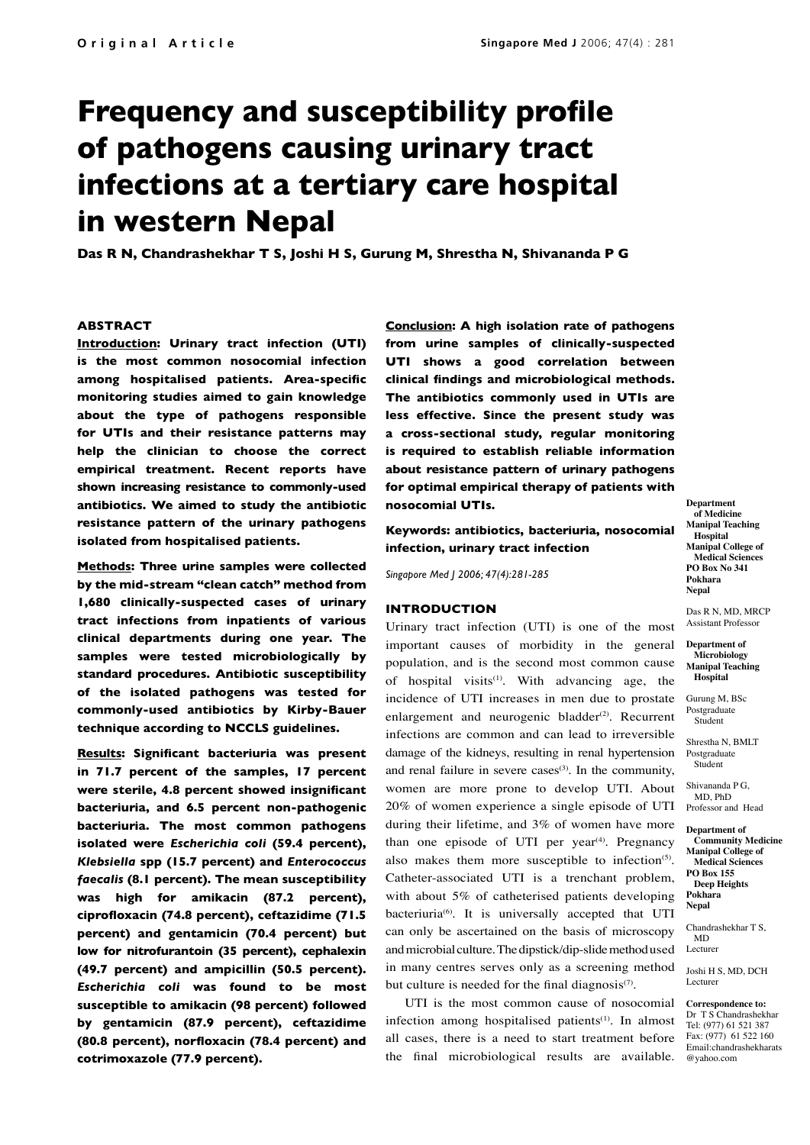# **Frequency and susceptibility profile of pathogens causing urinary tract infections at a tertiary care hospital in western Nepal**

**Das R N, Chandrashekhar T S, Joshi H S, Gurung M, Shrestha N, Shivananda P G**

### **ABSTRACT**

**Introduction: Urinary tract infection (UTI) is the most common nosocomial infection among hospitalised patients. Area-specific monitoring studies aimed to gain knowledge about the type of pathogens responsible for UTIs and their resistance patterns may help the clinician to choose the correct empirical treatment. Recent reports have shown increasing resistance to commonly-used antibiotics. We aimed to study the antibiotic resistance pattern of the urinary pathogens isolated from hospitalised patients.**

**Methods: Three urine samples were collected by the mid-stream "clean catch" method from 1,680 clinically-suspected cases of urinary tract infections from inpatients of various clinical departments during one year. The samples were tested microbiologically by standard procedures. Antibiotic susceptibility of the isolated pathogens was tested for commonly-used antibiotics by Kirby-Bauer technique according to NCCLS guidelines.**

**Results: Significant bacteriuria was present in 71.7 percent of the samples, 17 percent were sterile, 4.8 percent showed insignificant bacteriuria, and 6.5 percent non-pathogenic bacteriuria. The most common pathogens isolated were** *Escherichia coli* **(59.4 percent),**  *Klebsiella* **spp (15.7 percent) and** *Enterococcus faecalis* **(8.1 percent). The mean susceptibility was high for amikacin (87.2 percent), ciprofloxacin (74.8 percent), ceftazidime (71.5 percent) and gentamicin (70.4 percent) but low for nitrofurantoin (35 percent), cephalexin (49.7 percent) and ampicillin (50.5 percent).**  *Escherichia coli* **was found to be most susceptible to amikacin (98 percent) followed by gentamicin (87.9 percent), ceftazidime (80.8 percent), norfloxacin (78.4 percent) and cotrimoxazole (77.9 percent).**

**Conclusion: A high isolation rate of pathogens from urine samples of clinically-suspected UTI shows a good correlation between clinical findings and microbiological methods. The antibiotics commonly used in UTIs are less effective. Since the present study was a cross-sectional study, regular monitoring is required to establish reliable information about resistance pattern of urinary pathogens for optimal empirical therapy of patients with nosocomial UTIs.**

# **Keywords: antibiotics, bacteriuria, nosocomial infection, urinary tract infection**

*Singapore Med J 2006; 47(4):281-285*

## **INTRODUCTION**

Urinary tract infection (UTI) is one of the most important causes of morbidity in the general population, and is the second most common cause of hospital visits<sup>(1)</sup>. With advancing age, the incidence of UTI increases in men due to prostate enlargement and neurogenic bladder $(2)$ . Recurrent infections are common and can lead to irreversible damage of the kidneys, resulting in renal hypertension and renal failure in severe cases $(3)$ . In the community, women are more prone to develop UTI. About 20% of women experience a single episode of UTI during their lifetime, and 3% of women have more than one episode of UTI per year<sup> $(4)$ </sup>. Pregnancy also makes them more susceptible to infection<sup>(5)</sup>. Catheter-associated UTI is a trenchant problem, with about 5% of catheterised patients developing bacteriuria<sup>(6)</sup>. It is universally accepted that UTI can only be ascertained on the basis of microscopy and microbial culture. The dipstick/dip-slide method used in many centres serves only as a screening method but culture is needed for the final diagnosis $(7)$ .

UTI is the most common cause of nosocomial infection among hospitalised patients<sup>(1)</sup>. In almost all cases, there is a need to start treatment before the final microbiological results are available.

**Department of Medicine Manipal Teaching Hospital Manipal College of Medical Sciences PO Box No 341 Pokhara Nepal**

Das R N, MD, MRCP Assistant Professor

**Department of Microbiology Manipal Teaching Hospital**

Gurung M, BSc Postgraduate Student

Shrestha N, BMLT Postgraduate Student

Shivananda P G, MD, PhD Professor and Head

**Department of Community Medicine Manipal College of Medical Sciences PO Box 155 Deep Heights Pokhara Nepal**

Chandrashekhar T S, MD Lecturer

Joshi H S, MD, DCH Lecturer

**Correspondence to:** Dr T S Chandrashekhar Tel: (977) 61 521 387 Fax: (977) 61 522 160 Email:chandrashekharats @yahoo.com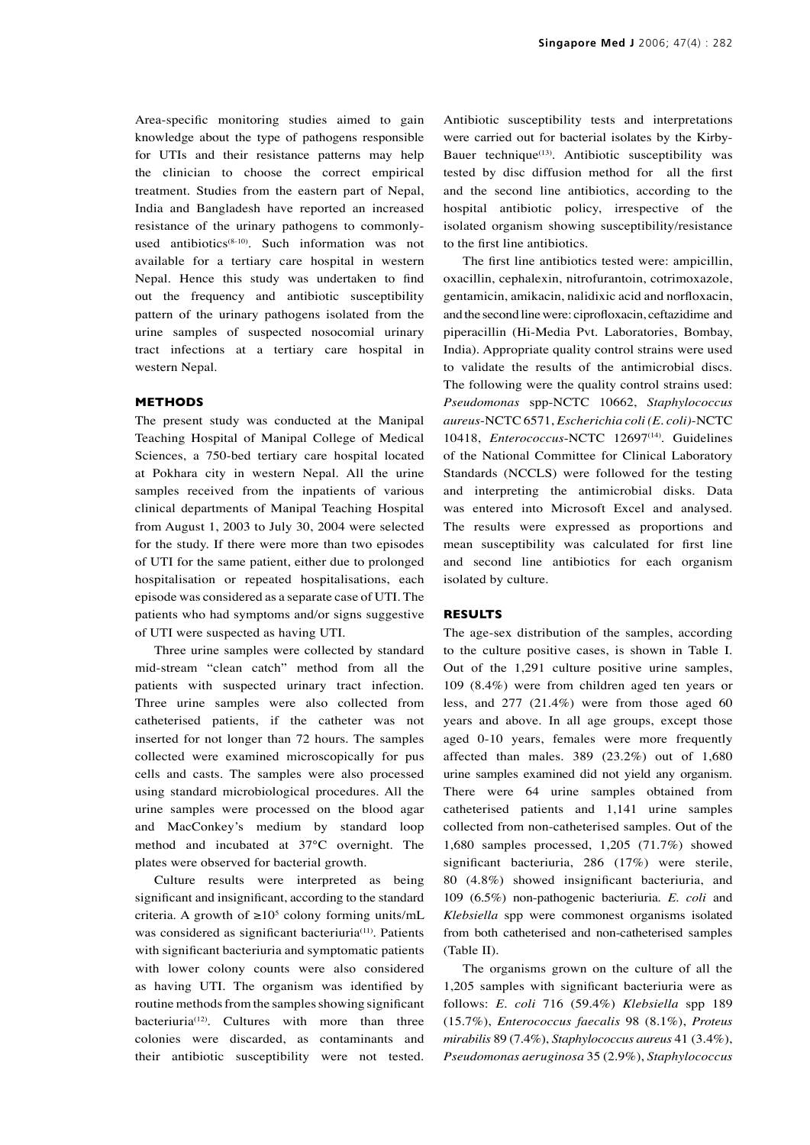Area-specific monitoring studies aimed to gain knowledge about the type of pathogens responsible for UTIs and their resistance patterns may help the clinician to choose the correct empirical treatment. Studies from the eastern part of Nepal, India and Bangladesh have reported an increased resistance of the urinary pathogens to commonlyused antibiotics<sup>(8-10)</sup>. Such information was not available for a tertiary care hospital in western Nepal. Hence this study was undertaken to find out the frequency and antibiotic susceptibility pattern of the urinary pathogens isolated from the urine samples of suspected nosocomial urinary tract infections at a tertiary care hospital in western Nepal.

#### **METHODS**

The present study was conducted at the Manipal Teaching Hospital of Manipal College of Medical Sciences, a 750-bed tertiary care hospital located at Pokhara city in western Nepal. All the urine samples received from the inpatients of various clinical departments of Manipal Teaching Hospital from August 1, 2003 to July 30, 2004 were selected for the study. If there were more than two episodes of UTI for the same patient, either due to prolonged hospitalisation or repeated hospitalisations, each episode was considered as a separate case of UTI. The patients who had symptoms and/or signs suggestive of UTI were suspected as having UTI.

Three urine samples were collected by standard mid-stream "clean catch" method from all the patients with suspected urinary tract infection. Three urine samples were also collected from catheterised patients, if the catheter was not inserted for not longer than 72 hours. The samples collected were examined microscopically for pus cells and casts. The samples were also processed using standard microbiological procedures. All the urine samples were processed on the blood agar and MacConkey's medium by standard loop method and incubated at 37°C overnight. The plates were observed for bacterial growth.

Culture results were interpreted as being significant and insignificant, according to the standard criteria. A growth of  $\geq 10^5$  colony forming units/mL was considered as significant bacteriuria<sup>(11)</sup>. Patients with significant bacteriuria and symptomatic patients with lower colony counts were also considered as having UTI. The organism was identified by routine methods from the samples showing significant bacteriuria<sup>(12)</sup>. Cultures with more than three colonies were discarded, as contaminants and their antibiotic susceptibility were not tested.

Antibiotic susceptibility tests and interpretations were carried out for bacterial isolates by the Kirby-Bauer technique<sup>(13)</sup>. Antibiotic susceptibility was tested by disc diffusion method for all the first and the second line antibiotics, according to the hospital antibiotic policy, irrespective of the isolated organism showing susceptibility/resistance to the first line antibiotics.

The first line antibiotics tested were: ampicillin, oxacillin, cephalexin, nitrofurantoin, cotrimoxazole, gentamicin, amikacin, nalidixic acid and norfloxacin, and the second line were: ciprofloxacin, ceftazidime and piperacillin (Hi-Media Pvt. Laboratories, Bombay, India). Appropriate quality control strains were used to validate the results of the antimicrobial discs. The following were the quality control strains used: *Pseudomonas* spp-NCTC 10662, *Staphylococcus aureus*-NCTC 6571, *Escherichia coli (E. coli)*-NCTC 10418, *Enterococcus*-NCTC 12697<sup>(14)</sup>. Guidelines of the National Committee for Clinical Laboratory Standards (NCCLS) were followed for the testing and interpreting the antimicrobial disks. Data was entered into Microsoft Excel and analysed. The results were expressed as proportions and mean susceptibility was calculated for first line and second line antibiotics for each organism isolated by culture.

#### **RESULTS**

The age-sex distribution of the samples, according to the culture positive cases, is shown in Table I. Out of the 1,291 culture positive urine samples, 109 (8.4%) were from children aged ten years or less, and 277 (21.4%) were from those aged 60 years and above. In all age groups, except those aged 0-10 years, females were more frequently affected than males. 389 (23.2%) out of 1,680 urine samples examined did not yield any organism. There were 64 urine samples obtained from catheterised patients and 1,141 urine samples collected from non-catheterised samples. Out of the 1,680 samples processed, 1,205 (71.7%) showed significant bacteriuria, 286 (17%) were sterile, 80 (4.8%) showed insignificant bacteriuria, and 109 (6.5%) non-pathogenic bacteriuria. *E. coli* and *Klebsiella* spp were commonest organisms isolated from both catheterised and non-catheterised samples (Table II).

The organisms grown on the culture of all the 1,205 samples with significant bacteriuria were as follows: *E. coli* 716 (59.4%) *Klebsiella* spp 189 (15.7%), *Enterococcus faecalis* 98 (8.1%), *Proteus mirabilis* 89 (7.4%), *Staphylococcus aureus* 41 (3.4%), *Pseudomonas aeruginosa* 35 (2.9%), *Staphylococcus*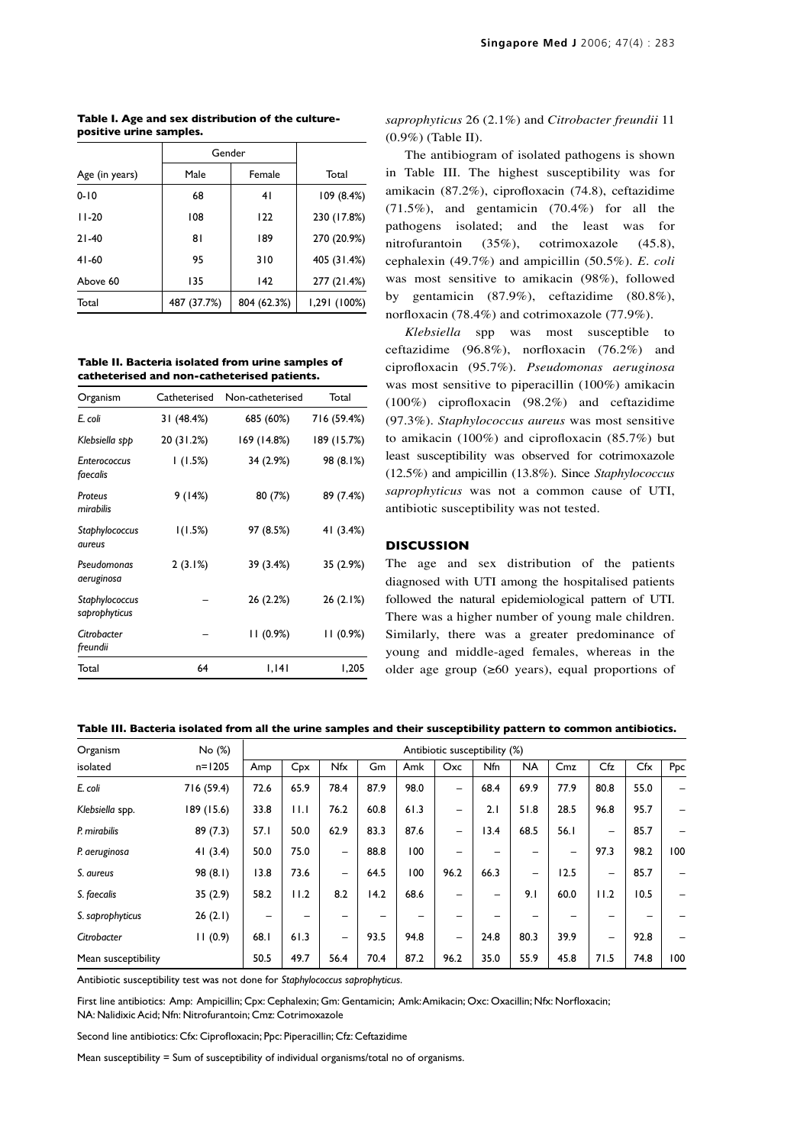**Table I. Age and sex distribution of the culturepositive urine samples.** 

|                | Gender      |             |              |  |  |
|----------------|-------------|-------------|--------------|--|--|
| Age (in years) | Male        | Female      | Total        |  |  |
| $0 - 10$       | 68          | 41          | 109(8.4%)    |  |  |
| $11-20$        | 108         | 122         | 230 (17.8%)  |  |  |
| $21 - 40$      | 81          | 189         | 270 (20.9%)  |  |  |
| $41-60$        | 95          | 310         | 405 (31.4%)  |  |  |
| Above 60       | 135         | 142         | 277 (21.4%)  |  |  |
| Total          | 487 (37.7%) | 804 (62.3%) | 1,291 (100%) |  |  |

**Table II. Bacteria isolated from urine samples of catheterised and non-catheterised patients.**

| Organism                        | Catheterised | Non-catheterised | Total       |  |  |
|---------------------------------|--------------|------------------|-------------|--|--|
| E. coli                         | 31 (48.4%)   | 685 (60%)        | 716 (59.4%) |  |  |
| Klebsiella spp                  | 20 (31.2%)   | 169 (14.8%)      | 189 (15.7%) |  |  |
| <b>Enterococcus</b><br>faecalis | 1(1.5%)      | 34 (2.9%)        | 98 (8.1%)   |  |  |
| Proteus<br>mirabilis            | 9(14%)       | 80 (7%)          | 89 (7.4%)   |  |  |
| Staphylococcus<br>aureus        | 1(1.5%)      | 97 (8.5%)        | 41 (3.4%)   |  |  |
| Pseudomonas<br>aeruginosa       | 2(3.1%)      | 39 (3.4%)        | 35 (2.9%)   |  |  |
| Staphylococcus<br>saprophyticus |              | 26 (2.2%)        | 26 (2.1%)   |  |  |
| Citrobacter<br>freundii         |              | 11(0.9%)         | 11(0.9%)    |  |  |
| Total                           | 64           | 1,141            | 1,205       |  |  |

# *saprophyticus* 26 (2.1%) and *Citrobacter freundii* 11 (0.9%) (Table II).

The antibiogram of isolated pathogens is shown in Table III. The highest susceptibility was for amikacin (87.2%), ciprofloxacin (74.8), ceftazidime (71.5%), and gentamicin (70.4%) for all the pathogens isolated; and the least was for nitrofurantoin (35%), cotrimoxazole (45.8), cephalexin (49.7%) and ampicillin (50.5%). *E. coli* was most sensitive to amikacin (98%), followed by gentamicin (87.9%), ceftazidime (80.8%), norfloxacin (78.4%) and cotrimoxazole (77.9%).

*Klebsiella* spp was most susceptible to ceftazidime (96.8%), norfloxacin (76.2%) and ciprofloxacin (95.7%). *Pseudomonas aeruginosa* was most sensitive to piperacillin (100%) amikacin (100%) ciprofloxacin (98.2%) and ceftazidime (97.3%). *Staphylococcus aureus* was most sensitive to amikacin (100%) and ciprofloxacin (85.7%) but least susceptibility was observed for cotrimoxazole (12.5%) and ampicillin (13.8%). Since *Staphylococcus saprophyticus* was not a common cause of UTI, antibiotic susceptibility was not tested.

## **DISCUSSION**

The age and sex distribution of the patients diagnosed with UTI among the hospitalised patients followed the natural epidemiological pattern of UTI. There was a higher number of young male children. Similarly, there was a greater predominance of young and middle-aged females, whereas in the older age group  $(\geq 60$  years), equal proportions of

**Table III. Bacteria isolated from all the urine samples and their susceptibility pattern to common antibiotics.**

| Organism            | No (%)     | Antibiotic susceptibility (%) |      |                 |      |      |                          |      |           |      |      |      |     |
|---------------------|------------|-------------------------------|------|-----------------|------|------|--------------------------|------|-----------|------|------|------|-----|
| isolated            | $n = 1205$ | Amp                           | Cpx  | Nfx             | Gm   | Amk  | Oxc                      | Nfn  | <b>NA</b> | Cmz  | Cfz  | Cfx  | Ppc |
| E. coli             | 716 (59.4) | 72.6                          | 65.9 | 78.4            | 87.9 | 98.0 | $\overline{\phantom{0}}$ | 68.4 | 69.9      | 77.9 | 80.8 | 55.0 |     |
| Klebsiella spp.     | 189 (15.6) | 33.8                          | ПJ   | 76.2            | 60.8 | 61.3 | -                        | 2.1  | 51.8      | 28.5 | 96.8 | 95.7 |     |
| P. mirabilis        | 89(7.3)    | 57.1                          | 50.0 | 62.9            | 83.3 | 87.6 | -                        | 13.4 | 68.5      | 56.1 | -    | 85.7 |     |
| P. aeruginosa       | 41(3.4)    | 50.0                          | 75.0 | $\qquad \qquad$ | 88.8 | 100  |                          |      |           |      | 97.3 | 98.2 | 100 |
| S. aureus           | 98(8.1)    | 13.8                          | 73.6 | $\qquad \qquad$ | 64.5 | 100  | 96.2                     | 66.3 | -         | 12.5 | -    | 85.7 |     |
| S. faecalis         | 35(2.9)    | 58.2                          | 11.2 | 8.2             | 14.2 | 68.6 |                          | -    | 9.1       | 60.0 | 11.2 | 10.5 |     |
| S. saprophyticus    | 26(2.1)    | -                             |      |                 |      |      |                          |      |           |      |      |      |     |
| Citrobacter         | 11(0.9)    | 68.1                          | 61.3 | $\qquad \qquad$ | 93.5 | 94.8 | $\qquad \qquad$          | 24.8 | 80.3      | 39.9 | -    | 92.8 |     |
| Mean susceptibility |            | 50.5                          | 49.7 | 56.4            | 70.4 | 87.2 | 96.2                     | 35.0 | 55.9      | 45.8 | 71.5 | 74.8 | 100 |

Antibiotic susceptibility test was not done for *Staphylococcus saprophyticus*.

First line antibiotics: Amp: Ampicillin; Cpx: Cephalexin; Gm: Gentamicin; Amk: Amikacin; Oxc: Oxacillin; Nfx: Norfloxacin; NA: Nalidixic Acid; Nfn: Nitrofurantoin; Cmz: Cotrimoxazole

Second line antibiotics: Cfx: Ciprofloxacin; Ppc: Piperacillin; Cfz: Ceftazidime

Mean susceptibility = Sum of susceptibility of individual organisms/total no of organisms.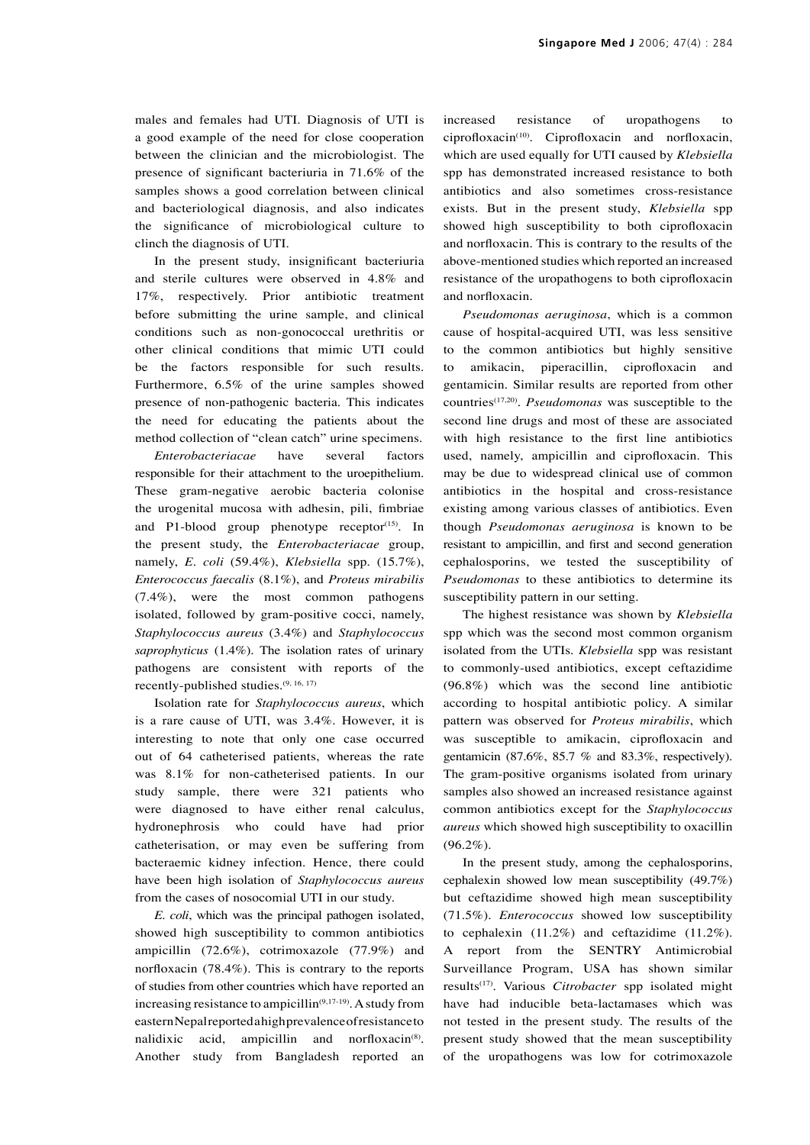males and females had UTI. Diagnosis of UTI is a good example of the need for close cooperation between the clinician and the microbiologist. The presence of significant bacteriuria in 71.6% of the samples shows a good correlation between clinical and bacteriological diagnosis, and also indicates the significance of microbiological culture to clinch the diagnosis of UTI.

In the present study, insignificant bacteriuria and sterile cultures were observed in 4.8% and 17%, respectively. Prior antibiotic treatment before submitting the urine sample, and clinical conditions such as non-gonococcal urethritis or other clinical conditions that mimic UTI could be the factors responsible for such results. Furthermore, 6.5% of the urine samples showed presence of non-pathogenic bacteria. This indicates the need for educating the patients about the method collection of "clean catch" urine specimens.

*Enterobacteriacae* have several factors responsible for their attachment to the uroepithelium. These gram-negative aerobic bacteria colonise the urogenital mucosa with adhesin, pili, fimbriae and P1-blood group phenotype receptor $(15)$ . In the present study, the *Enterobacteriacae* group, namely, *E. coli* (59.4%), *Klebsiella* spp. (15.7%), *Enterococcus faecalis* (8.1%), and *Proteus mirabilis* (7.4%), were the most common pathogens isolated, followed by gram-positive cocci, namely, *Staphylococcus aureus* (3.4%) and *Staphylococcus saprophyticus* (1.4%). The isolation rates of urinary pathogens are consistent with reports of the recently-published studies.(9, 16, 17)

Isolation rate for *Staphylococcus aureus*, which is a rare cause of UTI, was 3.4%. However, it is interesting to note that only one case occurred out of 64 catheterised patients, whereas the rate was 8.1% for non-catheterised patients. In our study sample, there were 321 patients who were diagnosed to have either renal calculus, hydronephrosis who could have had prior catheterisation, or may even be suffering from bacteraemic kidney infection. Hence, there could have been high isolation of *Staphylococcus aureus* from the cases of nosocomial UTI in our study.

*E. coli*, which was the principal pathogen isolated, showed high susceptibility to common antibiotics ampicillin (72.6%), cotrimoxazole (77.9%) and norfloxacin (78.4%). This is contrary to the reports of studies from other countries which have reported an increasing resistance to ampicillin<sup> $(9,17-19)$ </sup>. A study from eastern Nepal reported a high prevalence of resistance to nalidixic acid, ampicillin and norfloxacin<sup>(8)</sup>. Another study from Bangladesh reported an

increased resistance of uropathogens to  $ciproboxacin<sup>(10)</sup>$ . Ciprofloxacin and norfloxacin, which are used equally for UTI caused by *Klebsiella*  spp has demonstrated increased resistance to both antibiotics and also sometimes cross-resistance exists. But in the present study, *Klebsiella* spp showed high susceptibility to both ciprofloxacin and norfloxacin. This is contrary to the results of the above-mentioned studies which reported an increased resistance of the uropathogens to both ciprofloxacin and norfloxacin.

*Pseudomonas aeruginosa*, which is a common cause of hospital-acquired UTI, was less sensitive to the common antibiotics but highly sensitive to amikacin, piperacillin, ciprofloxacin and gentamicin. Similar results are reported from other countries(17,20). *Pseudomonas* was susceptible to the second line drugs and most of these are associated with high resistance to the first line antibiotics used, namely, ampicillin and ciprofloxacin. This may be due to widespread clinical use of common antibiotics in the hospital and cross-resistance existing among various classes of antibiotics. Even though *Pseudomonas aeruginosa* is known to be resistant to ampicillin, and first and second generation cephalosporins, we tested the susceptibility of *Pseudomonas* to these antibiotics to determine its susceptibility pattern in our setting.

The highest resistance was shown by *Klebsiella*  spp which was the second most common organism isolated from the UTIs. *Klebsiella* spp was resistant to commonly-used antibiotics, except ceftazidime (96.8%) which was the second line antibiotic according to hospital antibiotic policy. A similar pattern was observed for *Proteus mirabilis*, which was susceptible to amikacin, ciprofloxacin and gentamicin (87.6%, 85.7 % and 83.3%, respectively). The gram-positive organisms isolated from urinary samples also showed an increased resistance against common antibiotics except for the *Staphylococcus aureus* which showed high susceptibility to oxacillin (96.2%).

In the present study, among the cephalosporins, cephalexin showed low mean susceptibility (49.7%) but ceftazidime showed high mean susceptibility (71.5%). *Enterococcus* showed low susceptibility to cephalexin (11.2%) and ceftazidime (11.2%). A report from the SENTRY Antimicrobial Surveillance Program, USA has shown similar results(17). Various *Citrobacter* spp isolated might have had inducible beta-lactamases which was not tested in the present study. The results of the present study showed that the mean susceptibility of the uropathogens was low for cotrimoxazole